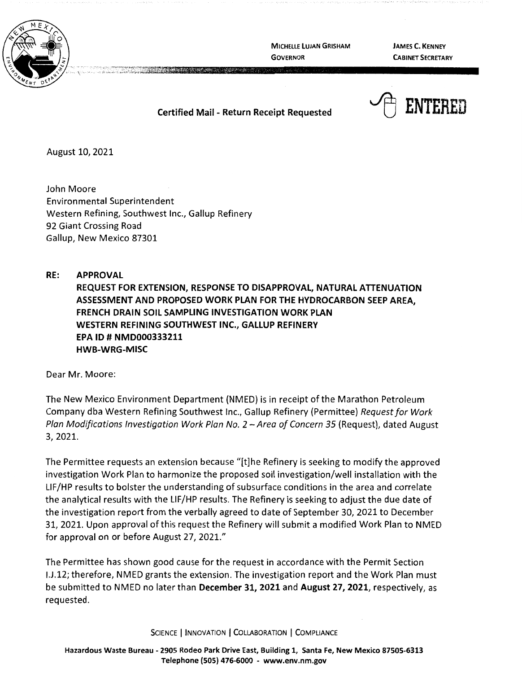

**MICHELLE LUJAN GRISHAM GOVERNOR** 

**JAMES C. KENNEY CABINET SECRETARY** 

## **Certified Mail** - **Return Receipt Requested**



August 10, 2021

John Moore Environmental Superintendent Western Refining, Southwest Inc., Gallup Refinery 92 Giant Crossing Road Gallup, New Mexico 87301

**RE: APPROVAL REQUEST FOR EXTENSION, RESPONSE TO DISAPPROVAL, NATURAL ATTENUATION ASSESSMENT AND PROPOSED WORK PLAN FOR THE HYDROCARBON SEEP AREA, FRENCH DRAIN SOIL SAMPLING INVESTIGATION WORK PLAN WESTERN REFINING SOUTHWEST INC., GALLUP REFINERY EPA ID# NMD000333211 HWB-WRG-MISC** 

Dear Mr. Moore:

The New Mexico Environment Department (NMED) is in receipt of the Marathon Petroleum Company dba Western Refining Southwest Inc., Gallup Refinery (Permittee) Request for Work Plan Modifications Investigation Work Plan No. 2 – Area of Concern 35 (Request), dated August 3, 2021.

The Permittee requests an extension because "[t]he Refinery is seeking to modify the approved investigation Work Plan to harmonize the proposed soil investigation/well installation with the LIF/HP results to bolster the understanding of subsurface conditions in the area and correlate the analytical results with the LIF/HP results. The Refinery is seeking to adjust the due date of the investigation report from the verbally agreed to date of September 30, 2021 to December 31, 2021. Upon approval of this request the Refinery will submit a modified Work Plan to NMED for approval on or before August 27, 2021."

The Permittee has shown good cause for the request in accordance with the Permit Section I.J.12; therefore, NMED grants the extension. The investigation report and the Work Plan must be submitted to NMED no later than **December 31, 2021** and **August 27, 2021,** respectively, as requested.

SCIENCE | INNOVATION | COLLABORATION | COMPLIANCE